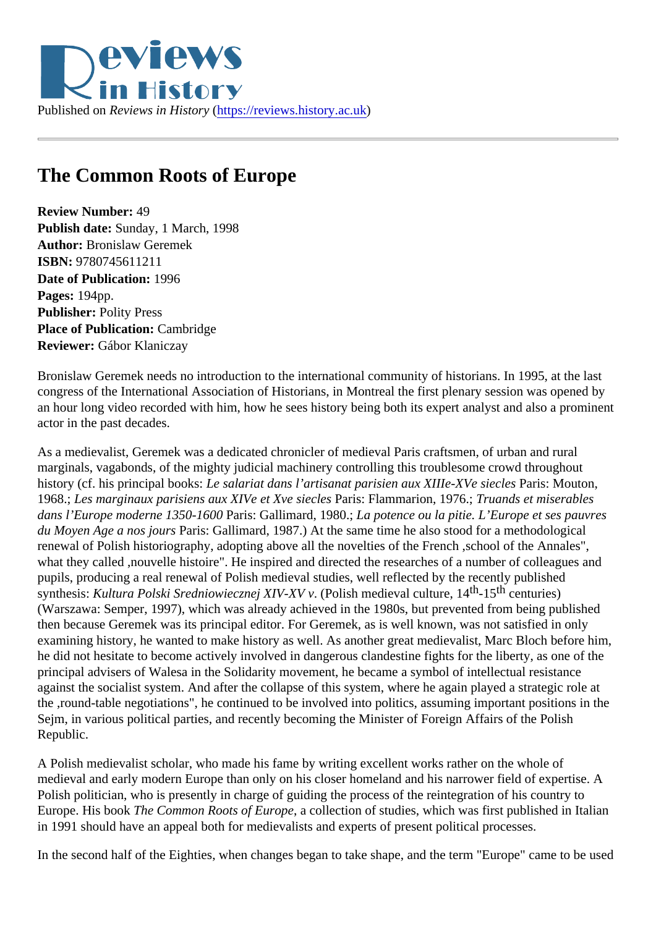## The Common Roots of Europe

Review Number: 49 Publish date: Sunday, 1 March, 1998 Author: Bronislaw Geremek ISBN: 9780745611211 Date of Publication: 1996 Pages: 194pp. Publisher: Polity Press Place of Publication: Cambridge Reviewer: Gábor Klaniczay

Bronislaw Geremek needs no introduction to the international community of historians. In 1995, at the last congress of the International Association of Historians, in Montreal the first plenary session was opened b an hour long video recorded with him, how he sees history being both its expert analyst and also a promin actor in the past decades.

As a medievalist, Geremek was a dedicated chronicler of medieval Paris craftsmen, of urban and rural marginals, vagabonds, of the mighty judicial machinery controlling this troublesome crowd throughout history (cf. his principal books: e salariat dans l'artisanat parisien aux XIIIe-XVe sied Rearis: Mouton, 1968.; Les marginaux parisiens aux XIVe et Xve sie Plass: Flammarion, 1976 Truands et miserables dans l'Europe moderne 1350-16<sup>p</sup>aris: Gallimard, 1980La potence ou la pitie. L'Europe et ses pauvres du Moyen Age a nos joursaris: Gallimard, 1987.) At the same time he also stood for a methodological renewal of Polish historiography, adopting above all the novelties of the French ,school of the Annales", what they called ,nouvelle histoire". He inspired and directed the researches of a number of colleagues an pupils, producing a real renewal of Polish medieval studies, well reflected by the recently published synthesisKultura Polski Sredniowiecznej XIV-XV (Polish medieval culture, 1415<sup>th</sup> centuries) (Warszawa: Semper, 1997), which was already achieved in the 1980s, but prevented from being published then because Geremek was its principal editor. For Geremek, as is well known, was not satisfied in only examining history, he wanted to make history as well. As another great medievalist, Marc Bloch before hin he did not hesitate to become actively involved in dangerous clandestine fights for the liberty, as one of the principal advisers of Walesa in the Solidarity movement, he became a symbol of intellectual resistance against the socialist system. And after the collapse of this system, where he again played a strategic role at the ,round-table negotiations", he continued to be involved into politics, assuming important positions in th Sejm, in various political parties, and recently becoming the Minister of Foreign Affairs of the Polish Republic.

A Polish medievalist scholar, who made his fame by writing excellent works rather on the whole of medieval and early modern Europe than only on his closer homeland and his narrower field of expertise. A Polish politician, who is presently in charge of guiding the process of the reintegration of his country to Europe. His book The Common Roots of Europe collection of studies, which was first published in Italian in 1991 should have an appeal both for medievalists and experts of present political processes.

In the second half of the Eighties, when changes began to take shape, and the term "Europe" came to be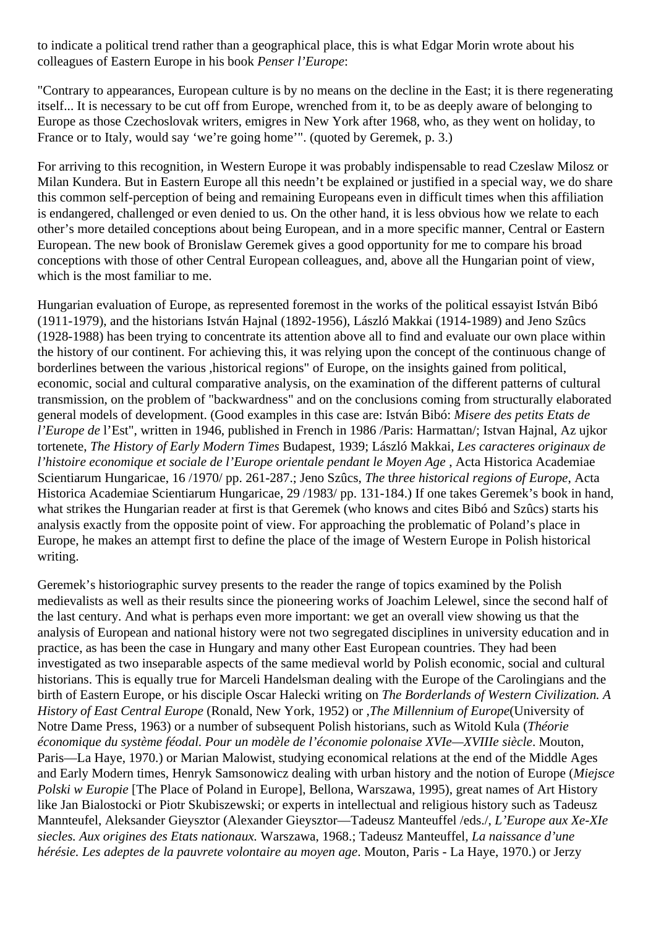to indicate a political trend rather than a geographical place, this is what Edgar Morin wrote about his colleagues of Eastern Europe in his book *Penser l'Europe*:

"Contrary to appearances, European culture is by no means on the decline in the East; it is there regenerating itself... It is necessary to be cut off from Europe, wrenched from it, to be as deeply aware of belonging to Europe as those Czechoslovak writers, emigres in New York after 1968, who, as they went on holiday, to France or to Italy, would say 'we're going home'". (quoted by Geremek, p. 3.)

For arriving to this recognition, in Western Europe it was probably indispensable to read Czeslaw Milosz or Milan Kundera. But in Eastern Europe all this needn't be explained or justified in a special way, we do share this common self-perception of being and remaining Europeans even in difficult times when this affiliation is endangered, challenged or even denied to us. On the other hand, it is less obvious how we relate to each other's more detailed conceptions about being European, and in a more specific manner, Central or Eastern European. The new book of Bronislaw Geremek gives a good opportunity for me to compare his broad conceptions with those of other Central European colleagues, and, above all the Hungarian point of view, which is the most familiar to me.

Hungarian evaluation of Europe, as represented foremost in the works of the political essayist István Bibó (1911-1979), and the historians István Hajnal (1892-1956), László Makkai (1914-1989) and Jeno Szûcs (1928-1988) has been trying to concentrate its attention above all to find and evaluate our own place within the history of our continent. For achieving this, it was relying upon the concept of the continuous change of borderlines between the various ,historical regions" of Europe, on the insights gained from political, economic, social and cultural comparative analysis, on the examination of the different patterns of cultural transmission, on the problem of "backwardness" and on the conclusions coming from structurally elaborated general models of development. (Good examples in this case are: István Bibó: *Misere des petits Etats de l'Europe de* l'Est", written in 1946, published in French in 1986 /Paris: Harmattan/; Istvan Hajnal, Az ujkor tortenete, *The History of Early Modern Times* Budapest, 1939; László Makkai, *Les caracteres originaux de l'histoire economique et sociale de l'Europe orientale pendant le Moyen Age* , Acta Historica Academiae Scientiarum Hungaricae, 16 /1970/ pp. 261-287.; Jeno Szûcs, *The* t*hree historical regions of Europe*, Acta Historica Academiae Scientiarum Hungaricae, 29 /1983/ pp. 131-184.) If one takes Geremek's book in hand, what strikes the Hungarian reader at first is that Geremek (who knows and cites Bibó and Szûcs) starts his analysis exactly from the opposite point of view. For approaching the problematic of Poland's place in Europe, he makes an attempt first to define the place of the image of Western Europe in Polish historical writing.

Geremek's historiographic survey presents to the reader the range of topics examined by the Polish medievalists as well as their results since the pioneering works of Joachim Lelewel, since the second half of the last century. And what is perhaps even more important: we get an overall view showing us that the analysis of European and national history were not two segregated disciplines in university education and in practice, as has been the case in Hungary and many other East European countries. They had been investigated as two inseparable aspects of the same medieval world by Polish economic, social and cultural historians. This is equally true for Marceli Handelsman dealing with the Europe of the Carolingians and the birth of Eastern Europe, or his disciple Oscar Halecki writing on *The Borderlands of Western Civilization. A History of East Central Europe* (Ronald, New York, 1952) or ,*The Millennium of Europe*(University of Notre Dame Press, 1963) or a number of subsequent Polish historians, such as Witold Kula (*Théorie économique du système féodal. Pour un modèle de l'économie polonaise XVIe—XVIIIe siècle*. Mouton, Paris—La Haye, 1970.) or Marian Malowist, studying economical relations at the end of the Middle Ages and Early Modern times, Henryk Samsonowicz dealing with urban history and the notion of Europe (*Miejsce Polski w Europie* [The Place of Poland in Europe], Bellona, Warszawa, 1995), great names of Art History like Jan Bialostocki or Piotr Skubiszewski; or experts in intellectual and religious history such as Tadeusz Mannteufel, Aleksander Gieysztor (Alexander Gieysztor—Tadeusz Manteuffel /eds./, *L'Europe aux Xe-XIe siecles. Aux origines des Etats nationaux.* Warszawa, 1968.; Tadeusz Manteuffel, *La naissance d'une hérésie. Les adeptes de la pauvrete volontaire au moyen age*. Mouton, Paris - La Haye, 1970.) or Jerzy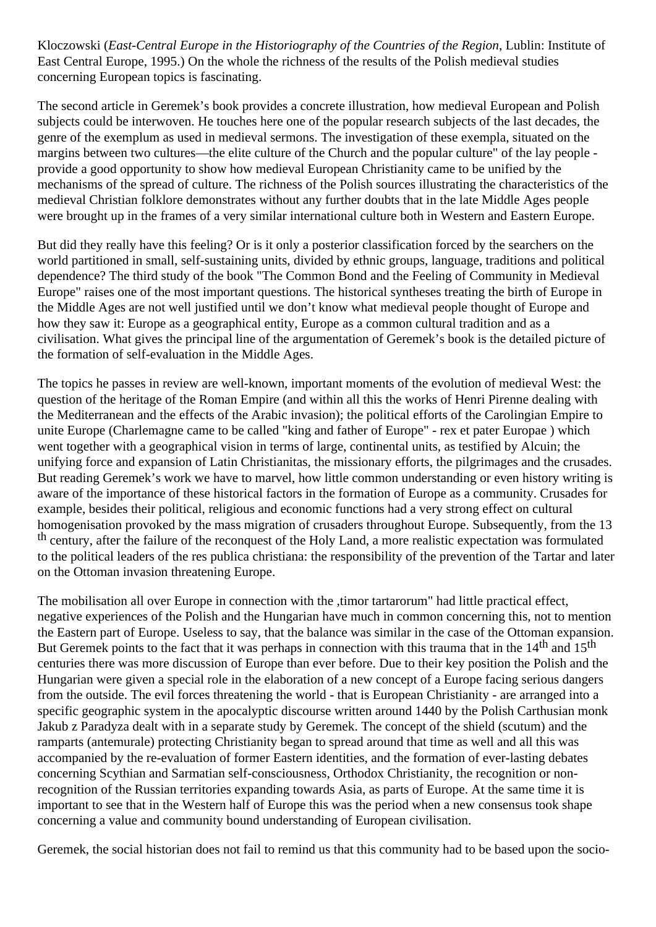Kloczowski (*East-Central Europe in the Historiography of the Countries of the Region*, Lublin: Institute of East Central Europe, 1995.) On the whole the richness of the results of the Polish medieval studies concerning European topics is fascinating.

The second article in Geremek's book provides a concrete illustration, how medieval European and Polish subjects could be interwoven. He touches here one of the popular research subjects of the last decades, the genre of the exemplum as used in medieval sermons. The investigation of these exempla, situated on the margins between two cultures—the elite culture of the Church and the popular culture" of the lay people provide a good opportunity to show how medieval European Christianity came to be unified by the mechanisms of the spread of culture. The richness of the Polish sources illustrating the characteristics of the medieval Christian folklore demonstrates without any further doubts that in the late Middle Ages people were brought up in the frames of a very similar international culture both in Western and Eastern Europe.

But did they really have this feeling? Or is it only a posterior classification forced by the searchers on the world partitioned in small, self-sustaining units, divided by ethnic groups, language, traditions and political dependence? The third study of the book "The Common Bond and the Feeling of Community in Medieval Europe" raises one of the most important questions. The historical syntheses treating the birth of Europe in the Middle Ages are not well justified until we don't know what medieval people thought of Europe and how they saw it: Europe as a geographical entity, Europe as a common cultural tradition and as a civilisation. What gives the principal line of the argumentation of Geremek's book is the detailed picture of the formation of self-evaluation in the Middle Ages.

The topics he passes in review are well-known, important moments of the evolution of medieval West: the question of the heritage of the Roman Empire (and within all this the works of Henri Pirenne dealing with the Mediterranean and the effects of the Arabic invasion); the political efforts of the Carolingian Empire to unite Europe (Charlemagne came to be called "king and father of Europe" - rex et pater Europae ) which went together with a geographical vision in terms of large, continental units, as testified by Alcuin; the unifying force and expansion of Latin Christianitas, the missionary efforts, the pilgrimages and the crusades. But reading Geremek's work we have to marvel, how little common understanding or even history writing is aware of the importance of these historical factors in the formation of Europe as a community. Crusades for example, besides their political, religious and economic functions had a very strong effect on cultural homogenisation provoked by the mass migration of crusaders throughout Europe. Subsequently, from the 13 th century, after the failure of the reconquest of the Holy Land, a more realistic expectation was formulated to the political leaders of the res publica christiana: the responsibility of the prevention of the Tartar and later on the Ottoman invasion threatening Europe.

The mobilisation all over Europe in connection with the ,timor tartarorum" had little practical effect, negative experiences of the Polish and the Hungarian have much in common concerning this, not to mention the Eastern part of Europe. Useless to say, that the balance was similar in the case of the Ottoman expansion. But Geremek points to the fact that it was perhaps in connection with this trauma that in the 14<sup>th</sup> and 15<sup>th</sup> centuries there was more discussion of Europe than ever before. Due to their key position the Polish and the Hungarian were given a special role in the elaboration of a new concept of a Europe facing serious dangers from the outside. The evil forces threatening the world - that is European Christianity - are arranged into a specific geographic system in the apocalyptic discourse written around 1440 by the Polish Carthusian monk Jakub z Paradyza dealt with in a separate study by Geremek. The concept of the shield (scutum) and the ramparts (antemurale) protecting Christianity began to spread around that time as well and all this was accompanied by the re-evaluation of former Eastern identities, and the formation of ever-lasting debates concerning Scythian and Sarmatian self-consciousness, Orthodox Christianity, the recognition or nonrecognition of the Russian territories expanding towards Asia, as parts of Europe. At the same time it is important to see that in the Western half of Europe this was the period when a new consensus took shape concerning a value and community bound understanding of European civilisation.

Geremek, the social historian does not fail to remind us that this community had to be based upon the socio-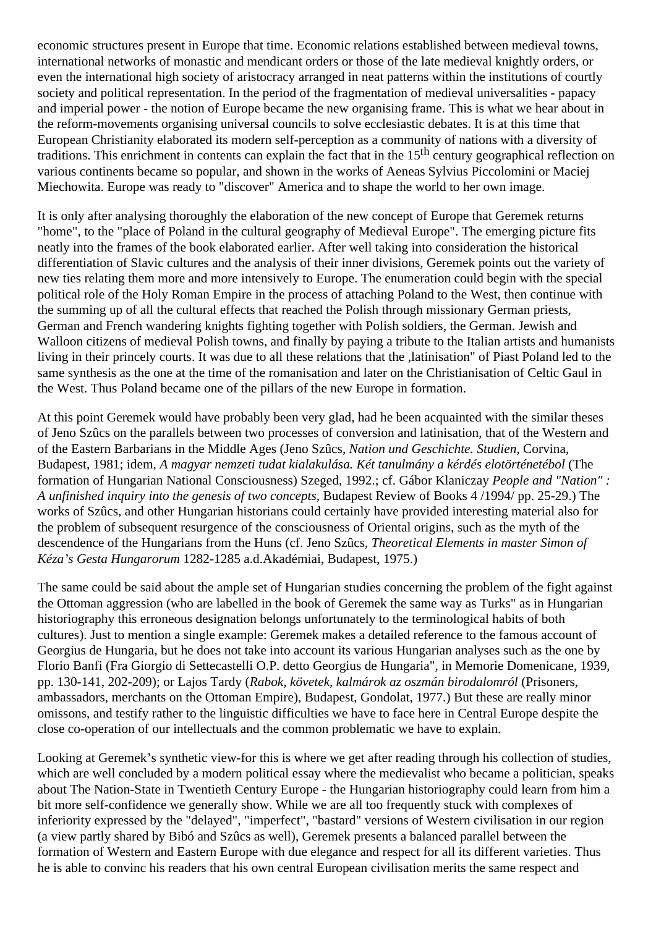economic structures present in Europe that time. Economic relations established between medieval towns, international networks of monastic and mendicant orders or those of the late medieval knightly orders, or even the international high society of aristocracy arranged in neat patterns within the institutions of courtly society and political representation. In the period of the fragmentation of medieval universalities - papacy and imperial power - the notion of Europe became the new organising frame. This is what we hear about in the reform-movements organising universal councils to solve ecclesiastic debates. It is at this time that European Christianity elaborated its modern self-perception as a community of nations with a diversity of traditions. This enrichment in contents can explain the fact that in the 15<sup>th</sup> century geographical reflection on various continents became so popular, and shown in the works of Aeneas Sylvius Piccolomini or Maciej Miechowita. Europe was ready to "discover" America and to shape the world to her own image.

It is only after analysing thoroughly the elaboration of the new concept of Europe that Geremek returns "home", to the "place of Poland in the cultural geography of Medieval Europe". The emerging picture fits neatly into the frames of the book elaborated earlier. After well taking into consideration the historical differentiation of Slavic cultures and the analysis of their inner divisions, Geremek points out the variety of new ties relating them more and more intensively to Europe. The enumeration could begin with the special political role of the Holy Roman Empire in the process of attaching Poland to the West, then continue with the summing up of all the cultural effects that reached the Polish through missionary German priests, German and French wandering knights fighting together with Polish soldiers, the German. Jewish and Walloon citizens of medieval Polish towns, and finally by paying a tribute to the Italian artists and humanists living in their princely courts. It was due to all these relations that the ,latinisation" of Piast Poland led to the same synthesis as the one at the time of the romanisation and later on the Christianisation of Celtic Gaul in the West. Thus Poland became one of the pillars of the new Europe in formation.

At this point Geremek would have probably been very glad, had he been acquainted with the similar theses of Jeno Szûcs on the parallels between two processes of conversion and latinisation, that of the Western and of the Eastern Barbarians in the Middle Ages (Jeno Szûcs, *Nation und Geschichte. Studien*, Corvina, Budapest, 1981; idem, *A magyar nemzeti tudat kialakulása. Két tanulmány a kérdés elotörténetébol* (The formation of Hungarian National Consciousness) Szeged, 1992.; cf. Gábor Klaniczay *People and "Nation" : A unfinished inquiry into the genesis of two concepts,* Budapest Review of Books 4 /1994/ pp. 25-29.) The works of Szûcs, and other Hungarian historians could certainly have provided interesting material also for the problem of subsequent resurgence of the consciousness of Oriental origins, such as the myth of the descendence of the Hungarians from the Huns (cf. Jeno Szûcs, *Theoretical Elements in master Simon of Kéza's Gesta Hungarorum* 1282-1285 a.d.Akadémiai, Budapest, 1975.)

The same could be said about the ample set of Hungarian studies concerning the problem of the fight against the Ottoman aggression (who are labelled in the book of Geremek the same way as Turks" as in Hungarian historiography this erroneous designation belongs unfortunately to the terminological habits of both cultures). Just to mention a single example: Geremek makes a detailed reference to the famous account of Georgius de Hungaria, but he does not take into account its various Hungarian analyses such as the one by Florio Banfi (Fra Giorgio di Settecastelli O.P. detto Georgius de Hungaria", in Memorie Domenicane, 1939, pp. 130-141, 202-209); or Lajos Tardy (*Rabok, követek, kalmárok az oszmán birodalomról* (Prisoners, ambassadors, merchants on the Ottoman Empire), Budapest, Gondolat, 1977.) But these are really minor omissons, and testify rather to the linguistic difficulties we have to face here in Central Europe despite the close co-operation of our intellectuals and the common problematic we have to explain.

Looking at Geremek's synthetic view-for this is where we get after reading through his collection of studies, which are well concluded by a modern political essay where the medievalist who became a politician, speaks about The Nation-State in Twentieth Century Europe - the Hungarian historiography could learn from him a bit more self-confidence we generally show. While we are all too frequently stuck with complexes of inferiority expressed by the "delayed", "imperfect", "bastard" versions of Western civilisation in our region (a view partly shared by Bibó and Szûcs as well), Geremek presents a balanced parallel between the formation of Western and Eastern Europe with due elegance and respect for all its different varieties. Thus he is able to convinc his readers that his own central European civilisation merits the same respect and